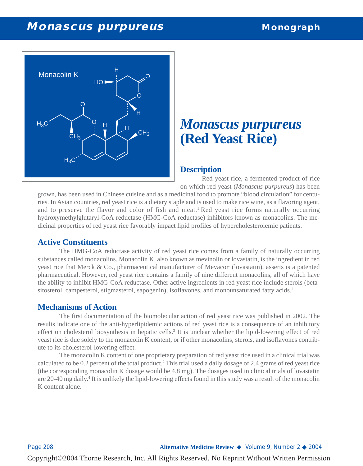# **Monascus purpureus Monograph**



# *Monascus purpureus* **(Red Yeast Rice)**

#### **Description**

Red yeast rice, a fermented product of rice on which red yeast (*Monascus purpureus*) has been

grown, has been used in Chinese cuisine and as a medicinal food to promote "blood circulation" for centuries. In Asian countries, red yeast rice is a dietary staple and is used to make rice wine, as a flavoring agent, and to preserve the flavor and color of fish and meat.<sup>1</sup> Red yeast rice forms naturally occurring hydroxymethylglutaryl-CoA reductase (HMG-CoA reductase) inhibitors known as monacolins. The medicinal properties of red yeast rice favorably impact lipid profiles of hypercholesterolemic patients.

#### **Active Constituents**

The HMG-CoA reductase activity of red yeast rice comes from a family of naturally occurring substances called monacolins. Monacolin K, also known as mevinolin or lovastatin, is the ingredient in red yeast rice that Merck & Co., pharmaceutical manufacturer of Mevacor' (lovastatin), asserts is a patented pharmaceutical. However, red yeast rice contains a family of nine different monacolins, all of which have the ability to inhibit HMG-CoA reductase. Other active ingredients in red yeast rice include sterols (betasitosterol, campesterol, stigmasterol, sapogenin), isoflavones, and monounsaturated fatty acids.<sup>2</sup>

## **Mechanisms of Action**

The first documentation of the biomolecular action of red yeast rice was published in 2002. The results indicate one of the anti-hyperlipidemic actions of red yeast rice is a consequence of an inhibitory effect on cholesterol biosynthesis in hepatic cells.<sup>3</sup> It is unclear whether the lipid-lowering effect of red yeast rice is due solely to the monacolin K content, or if other monacolins, sterols, and isoflavones contribute to its cholesterol-lowering effect.

The monacolin K content of one proprietary preparation of red yeast rice used in a clinical trial was calculated to be 0.2 percent of the total product.2 This trial used a daily dosage of 2.4 grams of red yeast rice (the corresponding monacolin K dosage would be 4.8 mg). The dosages used in clinical trials of lovastatin are 20-40 mg daily.4 It is unlikely the lipid-lowering effects found in this study was a result of the monacolin K content alone.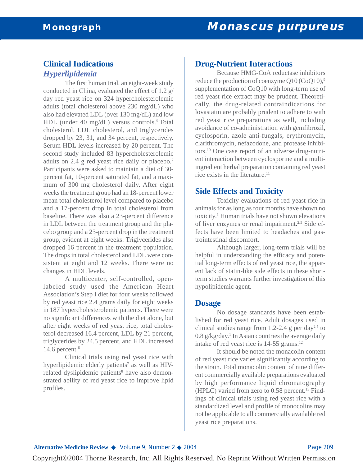# **Clinical Indications**

#### *Hyperlipidemia*

The first human trial, an eight-week study conducted in China, evaluated the effect of 1.2 g/ day red yeast rice on 324 hypercholesterolemic adults (total cholesterol above 230 mg/dL) who also had elevated LDL (over 130 mg/dL) and low HDL (under 40 mg/dL) versus controls.<sup>5</sup> Total cholesterol, LDL cholesterol, and triglycerides dropped by 23, 31, and 34 percent, respectively. Serum HDL levels increased by 20 percent. The second study included 83 hypercholesterolemic adults on 2.4 g red yeast rice daily or placebo.<sup>2</sup> Participants were asked to maintain a diet of 30 percent fat, 10-percent saturated fat, and a maximum of 300 mg cholesterol daily. After eight weeks the treatment group had an 18-percent lower mean total cholesterol level compared to placebo and a 17-percent drop in total cholesterol from baseline. There was also a 23-percent difference in LDL between the treatment group and the placebo group and a 23-percent drop in the treatment group, evident at eight weeks. Triglycerides also dropped 16 percent in the treatment population. The drops in total cholesterol and LDL were consistent at eight and 12 weeks. There were no changes in HDL levels.

A multicenter, self-controlled, openlabeled study used the American Heart Association's Step I diet for four weeks followed by red yeast rice 2.4 grams daily for eight weeks in 187 hypercholesterolemic patients. There were no significant differences with the diet alone, but after eight weeks of red yeast rice, total cholesterol decreased 16.4 percent, LDL by 21 percent, triglycerides by 24.5 percent, and HDL increased 14.6 percent.<sup>6</sup>

Clinical trials using red yeast rice with hyperlipidemic elderly patients<sup>7</sup> as well as HIVrelated dyslipidemic patients<sup>8</sup> have also demonstrated ability of red yeast rice to improve lipid profiles.

## **Drug-Nutrient Interactions**

Because HMG-CoA reductase inhibitors reduce the production of coenzyme O10 (CoO10),<sup>9</sup> supplementation of CoQ10 with long-term use of red yeast rice extract may be prudent. Theoretically, the drug-related contraindications for lovastatin are probably prudent to adhere to with red yeast rice preparations as well, including avoidance of co-administration with gemfibrozil, cyclosporin, azole anti-fungals, erythromycin, clarithromycin, nefazodone, and protease inhibitors.10 One case report of an adverse drug-nutrient interaction between cyclosporine and a multiingredient herbal preparation containing red yeast rice exists in the literature.<sup>11</sup>

## **Side Effects and Toxicity**

Toxicity evaluations of red yeast rice in animals for as long as four months have shown no toxicity.<sup>1</sup> Human trials have not shown elevations of liver enzymes or renal impairment.<sup>2,5</sup> Side effects have been limited to headaches and gastrointestinal discomfort.

Although larger, long-term trials will be helpful in understanding the efficacy and potential long-term effects of red yeast rice, the apparent lack of statin-like side effects in these shortterm studies warrants further investigation of this hypolipidemic agent.

#### **Dosage**

No dosage standards have been established for red yeast rice. Adult dosages used in clinical studies range from 1.2-2.4 g per day<sup>2,5</sup> to  $0.8$  g/kg/day.<sup>1</sup> In Asian countries the average daily intake of red yeast rice is  $14-55$  grams.<sup>12</sup>

It should be noted the monacolin content of red yeast rice varies significantly according to the strain. Total monacolin content of nine different commercially available preparations evaluated by high performance liquid chromatography (HPLC) varied from zero to  $0.58$  percent.<sup>13</sup> Findings of clinical trials using red yeast rice with a standardized level and profile of monocolins may not be applicable to all commercially available red yeast rice preparations.

Copyright©2004 Thorne Research, Inc. All Rights Reserved. No Reprint Without Written Permission